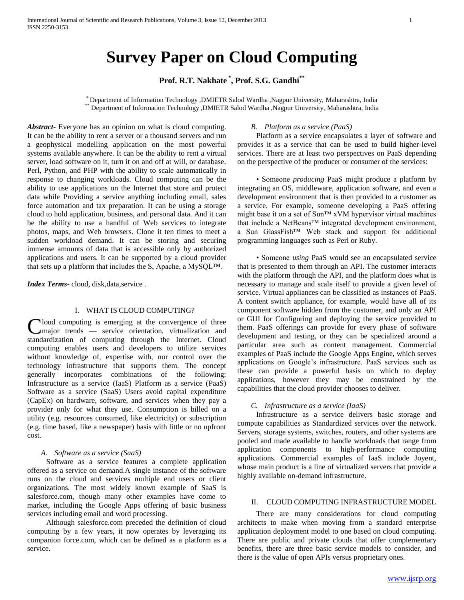# **Survey Paper on Cloud Computing**

# **Prof. R.T. Nakhate \* , Prof. S.G. Gandhi\*\***

\* Department of Information Technology ,DMIETR Salod Wardha ,Nagpur University, Maharashtra, India \*\* Department of Information Technology ,DMIETR Salod Wardha ,Nagpur University, Maharashtra, India

*Abstract***-** Everyone has an opinion on what is cloud computing. It can be the ability to rent a server or a thousand servers and run a geophysical modelling application on the most powerful systems available anywhere. It can be the ability to rent a virtual server, load software on it, turn it on and off at will, or database, Perl, Python, and PHP with the ability to scale automatically in response to changing workloads. Cloud computing can be the ability to use applications on the Internet that store and protect data while Providing a service anything including email, sales force automation and tax preparation. It can be using a storage cloud to hold application, business, and personal data. And it can be the ability to use a handful of Web services to integrate photos, maps, and Web browsers. Clone it ten times to meet a sudden workload demand. It can be storing and securing immense amounts of data that is accessible only by authorized applications and users. It can be supported by a cloud provider that sets up a platform that includes the S, Apache, a MySQL™.

*Index Terms*- cloud, disk,data,service .

## I. WHAT IS CLOUD COMPUTING?

loud computing is emerging at the convergence of three major trends — service orientation, virtualization and Cloud computing is emerging at the convergence of three major trends — service orientation, virtualization and standardization of computing through the Internet. Cloud computing enables users and developers to utilize services without knowledge of, expertise with, nor control over the technology infrastructure that supports them. The concept generally incorporates combinations of the following: Infrastructure as a service (IaaS) Platform as a service (PaaS) Software as a service (SaaS) Users avoid capital expenditure (CapEx) on hardware, software, and services when they pay a provider only for what they use. Consumption is billed on a utility (e.g. resources consumed, like electricity) or subscription (e.g. time based, like a newspaper) basis with little or no upfront cost.

## *A. Software as a service (SaaS)*

 Software as a service features a complete application offered as a service on demand.A single instance of the software runs on the cloud and services multiple end users or client organizations. The most widely known example of SaaS is salesforce.com, though many other examples have come to market, including the Google Apps offering of basic business services including email and word processing.

 Although salesforce.com preceded the definition of cloud computing by a few years, it now operates by leveraging its companion force.com, which can be defined as a platform as a service.

#### *B. Platform as a service (PaaS)*

 Platform as a service encapsulates a layer of software and provides it as a service that can be used to build higher-level services. There are at least two perspectives on PaaS depending on the perspective of the producer or consumer of the services:

 • Someone *producing* PaaS might produce a platform by integrating an OS, middleware, application software, and even a development environment that is then provided to a customer as a service. For example, someone developing a PaaS offering might base it on a set of Sun™ xVM hypervisor virtual machines that include a NetBeans™ integrated development environment, a Sun GlassFish™ Web stack and support for additional programming languages such as Perl or Ruby.

 • Someone *using* PaaS would see an encapsulated service that is presented to them through an API. The customer interacts with the platform through the API, and the platform does what is necessary to manage and scale itself to provide a given level of service. Virtual appliances can be classified as instances of PaaS. A content switch appliance, for example, would have all of its component software hidden from the customer, and only an API or GUI for Configuring and deploying the service provided to them. PaaS offerings can provide for every phase of software development and testing, or they can be specialized around a particular area such as content management. Commercial examples of PaaS include the Google Apps Engine, which serves applications on Google's infrastructure. PaaS services such as these can provide a powerful basis on which to deploy applications, however they may be constrained by the capabilities that the cloud provider chooses to deliver.

#### *C. Infrastructure as a service (IaaS)*

 Infrastructure as a service delivers basic storage and compute capabilities as Standardized services over the network. Servers, storage systems, switches, routers, and other systems are pooled and made available to handle workloads that range from application components to high-performance computing applications. Commercial examples of IaaS include Joyent, whose main product is a line of virtualized servers that provide a highly available on-demand infrastructure.

#### II. CLOUD COMPUTING INFRASTRUCTURE MODEL

 There are many considerations for cloud computing architects to make when moving from a standard enterprise application deployment model to one based on cloud computing. There are public and private clouds that offer complementary benefits, there are three basic service models to consider, and there is the value of open APIs versus proprietary ones.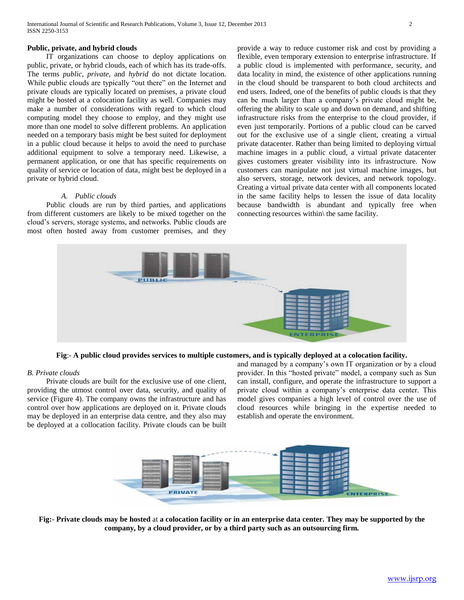## **Public, private, and hybrid clouds**

 IT organizations can choose to deploy applications on public, private, or hybrid clouds, each of which has its trade-offs. The terms *public*, *private*, and *hybrid* do not dictate location. While public clouds are typically "out there" on the Internet and private clouds are typically located on premises, a private cloud might be hosted at a colocation facility as well. Companies may make a number of considerations with regard to which cloud computing model they choose to employ, and they might use more than one model to solve different problems. An application needed on a temporary basis might be best suited for deployment in a public cloud because it helps to avoid the need to purchase additional equipment to solve a temporary need. Likewise, a permanent application, or one that has specific requirements on quality of service or location of data, might best be deployed in a private or hybrid cloud.

## *A. Public clouds*

 Public clouds are run by third parties, and applications from different customers are likely to be mixed together on the cloud's servers, storage systems, and networks. Public clouds are most often hosted away from customer premises, and they provide a way to reduce customer risk and cost by providing a flexible, even temporary extension to enterprise infrastructure. If a public cloud is implemented with performance, security, and data locality in mind, the existence of other applications running in the cloud should be transparent to both cloud architects and end users. Indeed, one of the benefits of public clouds is that they can be much larger than a company's private cloud might be, offering the ability to scale up and down on demand, and shifting infrastructure risks from the enterprise to the cloud provider, if even just temporarily. Portions of a public cloud can be carved out for the exclusive use of a single client, creating a virtual private datacenter. Rather than being limited to deploying virtual machine images in a public cloud, a virtual private datacenter gives customers greater visibility into its infrastructure. Now customers can manipulate not just virtual machine images, but also servers, storage, network devices, and network topology. Creating a virtual private data center with all components located in the same facility helps to lessen the issue of data locality because bandwidth is abundant and typically free when connecting resources within\ the same facility.



**Fig**:- **A public cloud provides services to multiple customers, and is typically deployed at a colocation facility.**

#### *B. Private clouds*

 Private clouds are built for the exclusive use of one client, providing the utmost control over data, security, and quality of service (Figure 4). The company owns the infrastructure and has control over how applications are deployed on it. Private clouds may be deployed in an enterprise data centre, and they also may be deployed at a collocation facility. Private clouds can be built and managed by a company's own IT organization or by a cloud provider. In this "hosted private" model, a company such as Sun can install, configure, and operate the infrastructure to support a private cloud within a company's enterprise data center. This model gives companies a high level of control over the use of cloud resources while bringing in the expertise needed to establish and operate the environment.



**Fig:- Private clouds may be hosted** at **a colocation facility or in an enterprise data center. They may be supported by the company, by a cloud provider, or by a third party such as an outsourcing firm.**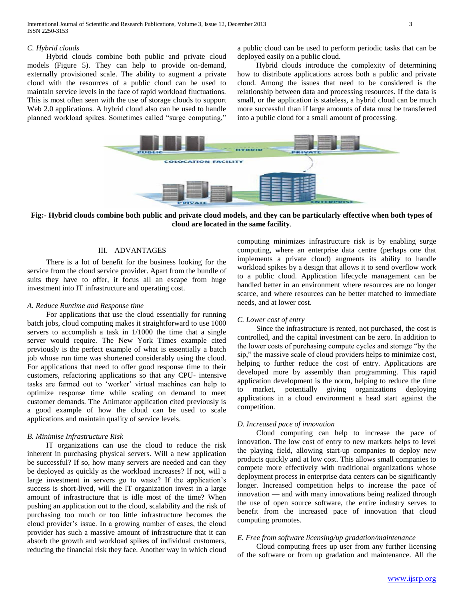#### *C. Hybrid clouds*

 Hybrid clouds combine both public and private cloud models (Figure 5). They can help to provide on-demand, externally provisioned scale. The ability to augment a private cloud with the resources of a public cloud can be used to maintain service levels in the face of rapid workload fluctuations. This is most often seen with the use of storage clouds to support Web 2.0 applications. A hybrid cloud also can be used to handle planned workload spikes. Sometimes called "surge computing,"

a public cloud can be used to perform periodic tasks that can be deployed easily on a public cloud.

 Hybrid clouds introduce the complexity of determining how to distribute applications across both a public and private cloud. Among the issues that need to be considered is the relationship between data and processing resources. If the data is small, or the application is stateless, a hybrid cloud can be much more successful than if large amounts of data must be transferred into a public cloud for a small amount of processing.



**Fig:- Hybrid clouds combine both public and private cloud models, and they can be particularly effective when both types of cloud are located in the same facility***.*

## III. ADVANTAGES

 There is a lot of benefit for the business looking for the service from the cloud service provider. Apart from the bundle of suits they have to offer, it focus all an escape from huge investment into IT infrastructure and operating cost.

#### *A. Reduce Runtime and Response time*

 For applications that use the cloud essentially for running batch jobs, cloud computing makes it straightforward to use 1000 servers to accomplish a task in 1/1000 the time that a single server would require. The New York Times example cited previously is the perfect example of what is essentially a batch job whose run time was shortened considerably using the cloud. For applications that need to offer good response time to their customers, refactoring applications so that any CPU- intensive tasks are farmed out to 'worker' virtual machines can help to optimize response time while scaling on demand to meet customer demands. The Animator application cited previously is a good example of how the cloud can be used to scale applications and maintain quality of service levels.

#### *B. Minimise Infrastructure Risk*

 IT organizations can use the cloud to reduce the risk inherent in purchasing physical servers. Will a new application be successful? If so, how many servers are needed and can they be deployed as quickly as the workload increases? If not, will a large investment in servers go to waste? If the application's success is short-lived, will the IT organization invest in a large amount of infrastructure that is idle most of the time? When pushing an application out to the cloud, scalability and the risk of purchasing too much or too little infrastructure becomes the cloud provider's issue. In a growing number of cases, the cloud provider has such a massive amount of infrastructure that it can absorb the growth and workload spikes of individual customers, reducing the financial risk they face. Another way in which cloud

computing minimizes infrastructure risk is by enabling surge computing, where an enterprise data centre (perhaps one that implements a private cloud) augments its ability to handle workload spikes by a design that allows it to send overflow work to a public cloud. Application lifecycle management can be handled better in an environment where resources are no longer scarce, and where resources can be better matched to immediate needs, and at lower cost.

#### *C. Lower cost of entry*

 Since the infrastructure is rented, not purchased, the cost is controlled, and the capital investment can be zero. In addition to the lower costs of purchasing compute cycles and storage "by the sip," the massive scale of cloud providers helps to minimize cost, helping to further reduce the cost of entry. Applications are developed more by assembly than programming. This rapid application development is the norm, helping to reduce the time to market, potentially giving organizations deploying applications in a cloud environment a head start against the competition.

# *D. Increased pace of innovation*

 Cloud computing can help to increase the pace of innovation. The low cost of entry to new markets helps to level the playing field, allowing start-up companies to deploy new products quickly and at low cost. This allows small companies to compete more effectively with traditional organizations whose deployment process in enterprise data centers can be significantly longer. Increased competition helps to increase the pace of innovation — and with many innovations being realized through the use of open source software, the entire industry serves to benefit from the increased pace of innovation that cloud computing promotes.

## *E. Free from software licensing/up gradation/maintenance*

 Cloud computing frees up user from any further licensing of the software or from up gradation and maintenance. All the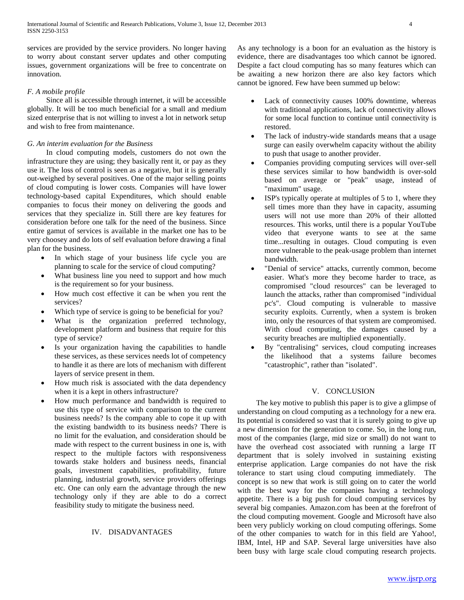services are provided by the service providers. No longer having to worry about constant server updates and other computing issues, government organizations will be free to concentrate on innovation.

## *F. A mobile profile*

 Since all is accessible through internet, it will be accessible globally. It will be too much beneficial for a small and medium sized enterprise that is not willing to invest a lot in network setup and wish to free from maintenance.

## *G. An interim evaluation for the Business*

 In cloud computing models, customers do not own the infrastructure they are using; they basically rent it, or pay as they use it. The loss of control is seen as a negative, but it is generally out-weighed by several positives. One of the major selling points of cloud computing is lower costs. Companies will have lower technology-based capital Expenditures, which should enable companies to focus their money on delivering the goods and services that they specialize in. Still there are key features for consideration before one talk for the need of the business. Since entire gamut of services is available in the market one has to be very choosey and do lots of self evaluation before drawing a final plan for the business.

- In which stage of your business life cycle you are planning to scale for the service of cloud computing?
- What business line you need to support and how much is the requirement so for your business.
- How much cost effective it can be when you rent the services?
- Which type of service is going to be beneficial for you?
- What is the organization preferred technology, development platform and business that require for this type of service?
- Is your organization having the capabilities to handle these services, as these services needs lot of competency to handle it as there are lots of mechanism with different layers of service present in them.
- How much risk is associated with the data dependency when it is a kept in others infrastructure?
- How much performance and bandwidth is required to use this type of service with comparison to the current business needs? Is the company able to cope it up with the existing bandwidth to its business needs? There is no limit for the evaluation, and consideration should be made with respect to the current business in one is, with respect to the multiple factors with responsiveness towards stake holders and business needs, financial goals, investment capabilities, profitability, future planning, industrial growth, service providers offerings etc. One can only earn the advantage through the new technology only if they are able to do a correct feasibility study to mitigate the business need.

## IV. DISADVANTAGES

As any technology is a boon for an evaluation as the history is evidence, there are disadvantages too which cannot be ignored. Despite a fact cloud computing has so many features which can be awaiting a new horizon there are also key factors which cannot be ignored. Few have been summed up below:

- Lack of connectivity causes 100% downtime, whereas with traditional applications, lack of connectivity allows for some local function to continue until connectivity is restored.
- The lack of industry-wide standards means that a usage surge can easily overwhelm capacity without the ability to push that usage to another provider.
- Companies providing computing services will over-sell these services similar to how bandwidth is over-sold based on average or "peak" usage, instead of "maximum" usage.
- ISP's typically operate at multiples of 5 to 1, where they sell times more than they have in capacity, assuming users will not use more than 20% of their allotted resources. This works, until there is a popular YouTube video that everyone wants to see at the same time...resulting in outages. Cloud computing is even more vulnerable to the peak-usage problem than internet bandwidth.
- "Denial of service" attacks, currently common, become easier. What's more they become harder to trace, as compromised "cloud resources" can be leveraged to launch the attacks, rather than compromised "individual pc's". Cloud computing is vulnerable to massive security exploits. Currently, when a system is broken into, only the resources of that system are compromised. With cloud computing, the damages caused by a security breaches are multiplied exponentially.
- By "centralising" services, cloud computing increases the likelihood that a systems failure becomes "catastrophic", rather than "isolated".

## V. CONCLUSION

 The key motive to publish this paper is to give a glimpse of understanding on cloud computing as a technology for a new era. Its potential is considered so vast that it is surely going to give up a new dimension for the generation to come. So, in the long run, most of the companies (large, mid size or small) do not want to have the overhead cost associated with running a large IT department that is solely involved in sustaining existing enterprise application. Large companies do not have the risk tolerance to start using cloud computing immediately. The concept is so new that work is still going on to cater the world with the best way for the companies having a technology appetite. There is a big push for cloud computing services by several big companies. Amazon.com has been at the forefront of the cloud computing movement. Google and Microsoft have also been very publicly working on cloud computing offerings. Some of the other companies to watch for in this field are Yahoo!, IBM, Intel, HP and SAP. Several large universities have also been busy with large scale cloud computing research projects.